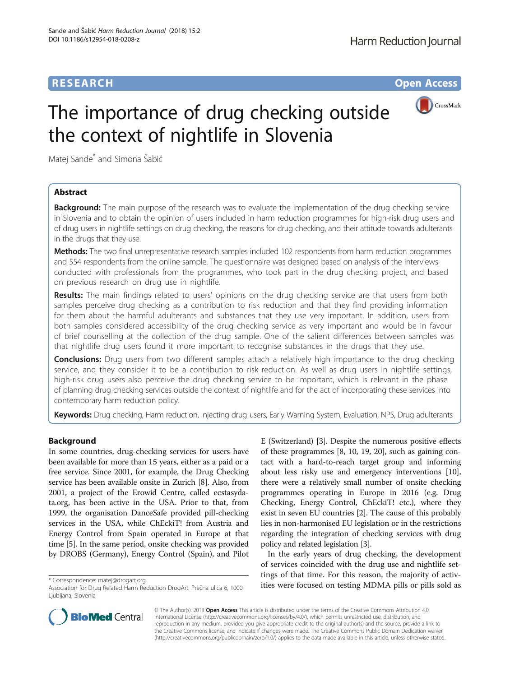# **RESEARCH CHE Open Access**



# The importance of drug checking outside the context of nightlife in Slovenia

Matej Sande\* and Simona Šabić

# Abstract

**Background:** The main purpose of the research was to evaluate the implementation of the drug checking service in Slovenia and to obtain the opinion of users included in harm reduction programmes for high-risk drug users and of drug users in nightlife settings on drug checking, the reasons for drug checking, and their attitude towards adulterants in the drugs that they use.

Methods: The two final unrepresentative research samples included 102 respondents from harm reduction programmes and 554 respondents from the online sample. The questionnaire was designed based on analysis of the interviews conducted with professionals from the programmes, who took part in the drug checking project, and based on previous research on drug use in nightlife.

Results: The main findings related to users' opinions on the drug checking service are that users from both samples perceive drug checking as a contribution to risk reduction and that they find providing information for them about the harmful adulterants and substances that they use very important. In addition, users from both samples considered accessibility of the drug checking service as very important and would be in favour of brief counselling at the collection of the drug sample. One of the salient differences between samples was that nightlife drug users found it more important to recognise substances in the drugs that they use.

**Conclusions:** Drug users from two different samples attach a relatively high importance to the drug checking service, and they consider it to be a contribution to risk reduction. As well as drug users in nightlife settings, high-risk drug users also perceive the drug checking service to be important, which is relevant in the phase of planning drug checking services outside the context of nightlife and for the act of incorporating these services into contemporary harm reduction policy.

Keywords: Drug checking, Harm reduction, Injecting drug users, Early Warning System, Evaluation, NPS, Drug adulterants

# Background

In some countries, drug-checking services for users have been available for more than 15 years, either as a paid or a free service. Since 2001, for example, the Drug Checking service has been available onsite in Zurich [\[8](#page-7-0)]. Also, from 2001, a project of the Erowid Centre, called [ecstasyda](http://ecstasydata.org)[ta.org](http://ecstasydata.org), has been active in the USA. Prior to that, from 1999, the organisation DanceSafe provided pill-checking services in the USA, while ChEckiT! from Austria and Energy Control from Spain operated in Europe at that time [\[5](#page-7-0)]. In the same period, onsite checking was provided by DROBS (Germany), Energy Control (Spain), and Pilot

E (Switzerland) [[3](#page-7-0)]. Despite the numerous positive effects of these programmes [[8](#page-7-0), [10](#page-7-0), [19](#page-7-0), [20](#page-7-0)], such as gaining contact with a hard-to-reach target group and informing about less risky use and emergency interventions [[10](#page-7-0)], there were a relatively small number of onsite checking programmes operating in Europe in 2016 (e.g. Drug Checking, Energy Control, ChEckiT! etc.), where they exist in seven EU countries [[2](#page-7-0)]. The cause of this probably lies in non-harmonised EU legislation or in the restrictions regarding the integration of checking services with drug policy and related legislation [\[3](#page-7-0)].

In the early years of drug checking, the development of services coincided with the drug use and nightlife settings of that time. For this reason, the majority of activ\* Correspondence: [matej@drogart.org](mailto:matej@drogart.org)<br>Association for Drug Belated Harm Beduction Drogart Prečna ulica 6 1000 **ities were focused on testing MDMA pills or pills sold as** 



© The Author(s). 2018 Open Access This article is distributed under the terms of the Creative Commons Attribution 4.0 International License [\(http://creativecommons.org/licenses/by/4.0/](http://creativecommons.org/licenses/by/4.0/)), which permits unrestricted use, distribution, and reproduction in any medium, provided you give appropriate credit to the original author(s) and the source, provide a link to the Creative Commons license, and indicate if changes were made. The Creative Commons Public Domain Dedication waiver [\(http://creativecommons.org/publicdomain/zero/1.0/](http://creativecommons.org/publicdomain/zero/1.0/)) applies to the data made available in this article, unless otherwise stated.

Association for Drug Related Harm Reduction DrogArt, Prečna ulica 6, 1000 Ljubljana, Slovenia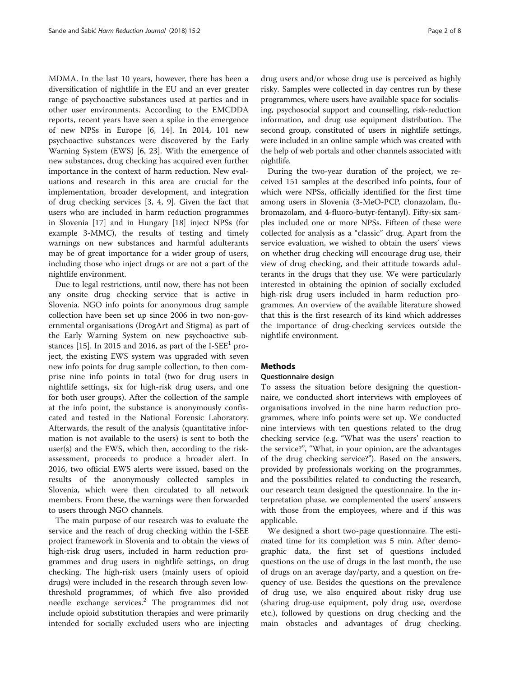MDMA. In the last 10 years, however, there has been a diversification of nightlife in the EU and an ever greater range of psychoactive substances used at parties and in other user environments. According to the EMCDDA reports, recent years have seen a spike in the emergence of new NPSs in Europe [\[6, 14](#page-7-0)]. In 2014, 101 new psychoactive substances were discovered by the Early Warning System (EWS) [\[6](#page-7-0), [23\]](#page-7-0). With the emergence of new substances, drug checking has acquired even further importance in the context of harm reduction. New evaluations and research in this area are crucial for the implementation, broader development, and integration of drug checking services [\[3](#page-7-0), [4, 9\]](#page-7-0). Given the fact that users who are included in harm reduction programmes in Slovenia [\[17\]](#page-7-0) and in Hungary [\[18](#page-7-0)] inject NPSs (for example 3-MMC), the results of testing and timely warnings on new substances and harmful adulterants may be of great importance for a wider group of users, including those who inject drugs or are not a part of the nightlife environment.

Due to legal restrictions, until now, there has not been any onsite drug checking service that is active in Slovenia. NGO info points for anonymous drug sample collection have been set up since 2006 in two non-governmental organisations (DrogArt and Stigma) as part of the Early Warning System on new psychoactive sub-stances [\[15\]](#page-7-0). In 2015 and 2016, as part of the I-SEE<sup>1</sup> project, the existing EWS system was upgraded with seven new info points for drug sample collection, to then comprise nine info points in total (two for drug users in nightlife settings, six for high-risk drug users, and one for both user groups). After the collection of the sample at the info point, the substance is anonymously confiscated and tested in the National Forensic Laboratory. Afterwards, the result of the analysis (quantitative information is not available to the users) is sent to both the user(s) and the EWS, which then, according to the riskassessment, proceeds to produce a broader alert. In 2016, two official EWS alerts were issued, based on the results of the anonymously collected samples in Slovenia, which were then circulated to all network members. From these, the warnings were then forwarded to users through NGO channels.

The main purpose of our research was to evaluate the service and the reach of drug checking within the I-SEE project framework in Slovenia and to obtain the views of high-risk drug users, included in harm reduction programmes and drug users in nightlife settings, on drug checking. The high-risk users (mainly users of opioid drugs) were included in the research through seven lowthreshold programmes, of which five also provided needle exchange services.<sup>2</sup> The programmes did not include opioid substitution therapies and were primarily intended for socially excluded users who are injecting drug users and/or whose drug use is perceived as highly risky. Samples were collected in day centres run by these programmes, where users have available space for socialising, psychosocial support and counselling, risk-reduction information, and drug use equipment distribution. The second group, constituted of users in nightlife settings, were included in an online sample which was created with the help of web portals and other channels associated with nightlife.

During the two-year duration of the project, we received 151 samples at the described info points, four of which were NPSs, officially identified for the first time among users in Slovenia (3-MeO-PCP, clonazolam, flubromazolam, and 4-fluoro-butyr-fentanyl). Fifty-six samples included one or more NPSs. Fifteen of these were collected for analysis as a "classic" drug. Apart from the service evaluation, we wished to obtain the users' views on whether drug checking will encourage drug use, their view of drug checking, and their attitude towards adulterants in the drugs that they use. We were particularly interested in obtaining the opinion of socially excluded high-risk drug users included in harm reduction programmes. An overview of the available literature showed that this is the first research of its kind which addresses the importance of drug-checking services outside the nightlife environment.

# **Methods**

# Questionnaire design

To assess the situation before designing the questionnaire, we conducted short interviews with employees of organisations involved in the nine harm reduction programmes, where info points were set up. We conducted nine interviews with ten questions related to the drug checking service (e.g. "What was the users' reaction to the service?", "What, in your opinion, are the advantages of the drug checking service?"). Based on the answers, provided by professionals working on the programmes, and the possibilities related to conducting the research, our research team designed the questionnaire. In the interpretation phase, we complemented the users' answers with those from the employees, where and if this was applicable.

We designed a short two-page questionnaire. The estimated time for its completion was 5 min. After demographic data, the first set of questions included questions on the use of drugs in the last month, the use of drugs on an average day/party, and a question on frequency of use. Besides the questions on the prevalence of drug use, we also enquired about risky drug use (sharing drug-use equipment, poly drug use, overdose etc.), followed by questions on drug checking and the main obstacles and advantages of drug checking.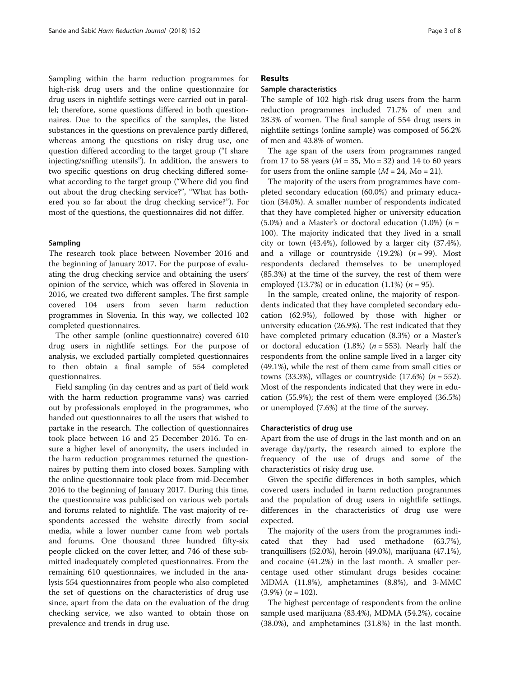Sampling within the harm reduction programmes for high-risk drug users and the online questionnaire for drug users in nightlife settings were carried out in parallel; therefore, some questions differed in both questionnaires. Due to the specifics of the samples, the listed substances in the questions on prevalence partly differed, whereas among the questions on risky drug use, one question differed according to the target group ("I share injecting/sniffing utensils"). In addition, the answers to two specific questions on drug checking differed somewhat according to the target group ("Where did you find out about the drug checking service?", "What has bothered you so far about the drug checking service?"). For most of the questions, the questionnaires did not differ.

## Sampling

The research took place between November 2016 and the beginning of January 2017. For the purpose of evaluating the drug checking service and obtaining the users' opinion of the service, which was offered in Slovenia in 2016, we created two different samples. The first sample covered 104 users from seven harm reduction programmes in Slovenia. In this way, we collected 102 completed questionnaires.

The other sample (online questionnaire) covered 610 drug users in nightlife settings. For the purpose of analysis, we excluded partially completed questionnaires to then obtain a final sample of 554 completed questionnaires.

Field sampling (in day centres and as part of field work with the harm reduction programme vans) was carried out by professionals employed in the programmes, who handed out questionnaires to all the users that wished to partake in the research. The collection of questionnaires took place between 16 and 25 December 2016. To ensure a higher level of anonymity, the users included in the harm reduction programmes returned the questionnaires by putting them into closed boxes. Sampling with the online questionnaire took place from mid-December 2016 to the beginning of January 2017. During this time, the questionnaire was publicised on various web portals and forums related to nightlife. The vast majority of respondents accessed the website directly from social media, while a lower number came from web portals and forums. One thousand three hundred fifty-six people clicked on the cover letter, and 746 of these submitted inadequately completed questionnaires. From the remaining 610 questionnaires, we included in the analysis 554 questionnaires from people who also completed the set of questions on the characteristics of drug use since, apart from the data on the evaluation of the drug checking service, we also wanted to obtain those on prevalence and trends in drug use.

# Results

# Sample characteristics

The sample of 102 high-risk drug users from the harm reduction programmes included 71.7% of men and 28.3% of women. The final sample of 554 drug users in nightlife settings (online sample) was composed of 56.2% of men and 43.8% of women.

The age span of the users from programmes ranged from 17 to 58 years ( $M = 35$ , Mo = 32) and 14 to 60 years for users from the online sample  $(M = 24, Mo = 21)$ .

The majority of the users from programmes have completed secondary education (60.0%) and primary education (34.0%). A smaller number of respondents indicated that they have completed higher or university education (5.0%) and a Master's or doctoral education (1.0%) ( $n =$ 100). The majority indicated that they lived in a small city or town (43.4%), followed by a larger city (37.4%), and a village or countryside  $(19.2\%)$   $(n = 99)$ . Most respondents declared themselves to be unemployed (85.3%) at the time of the survey, the rest of them were employed (13.7%) or in education (1.1%) ( $n = 95$ ).

In the sample, created online, the majority of respondents indicated that they have completed secondary education (62.9%), followed by those with higher or university education (26.9%). The rest indicated that they have completed primary education (8.3%) or a Master's or doctoral education  $(1.8\%)$  ( $n = 553$ ). Nearly half the respondents from the online sample lived in a larger city (49.1%), while the rest of them came from small cities or towns (33.3%), villages or countryside (17.6%) ( $n = 552$ ). Most of the respondents indicated that they were in education (55.9%); the rest of them were employed (36.5%) or unemployed (7.6%) at the time of the survey.

## Characteristics of drug use

Apart from the use of drugs in the last month and on an average day/party, the research aimed to explore the frequency of the use of drugs and some of the characteristics of risky drug use.

Given the specific differences in both samples, which covered users included in harm reduction programmes and the population of drug users in nightlife settings, differences in the characteristics of drug use were expected.

The majority of the users from the programmes indicated that they had used methadone (63.7%), tranquillisers (52.0%), heroin (49.0%), marijuana (47.1%), and cocaine (41.2%) in the last month. A smaller percentage used other stimulant drugs besides cocaine: MDMA (11.8%), amphetamines (8.8%), and 3-MMC  $(3.9\%)$   $(n = 102)$ .

The highest percentage of respondents from the online sample used marijuana (83.4%), MDMA (54.2%), cocaine (38.0%), and amphetamines (31.8%) in the last month.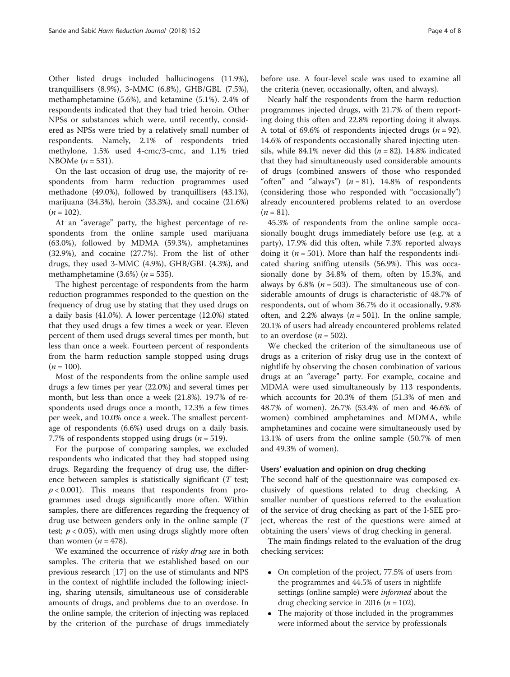Other listed drugs included hallucinogens (11.9%), tranquillisers (8.9%), 3-MMC (6.8%), GHB/GBL (7.5%), methamphetamine (5.6%), and ketamine (5.1%). 2.4% of respondents indicated that they had tried heroin. Other NPSs or substances which were, until recently, considered as NPSs were tried by a relatively small number of respondents. Namely, 2.1% of respondents tried methylone, 1.5% used 4-cmc/3-cmc, and 1.1% tried NBOMe  $(n = 531)$ .

On the last occasion of drug use, the majority of respondents from harm reduction programmes used methadone (49.0%), followed by tranquillisers (43.1%), marijuana (34.3%), heroin (33.3%), and cocaine (21.6%)  $(n = 102)$ .

At an "average" party, the highest percentage of respondents from the online sample used marijuana (63.0%), followed by MDMA (59.3%), amphetamines (32.9%), and cocaine (27.7%). From the list of other drugs, they used 3-MMC (4.9%), GHB/GBL (4.3%), and methamphetamine  $(3.6%)$  (*n* = 535).

The highest percentage of respondents from the harm reduction programmes responded to the question on the frequency of drug use by stating that they used drugs on a daily basis (41.0%). A lower percentage (12.0%) stated that they used drugs a few times a week or year. Eleven percent of them used drugs several times per month, but less than once a week. Fourteen percent of respondents from the harm reduction sample stopped using drugs  $(n = 100)$ .

Most of the respondents from the online sample used drugs a few times per year (22.0%) and several times per month, but less than once a week (21.8%). 19.7% of respondents used drugs once a month, 12.3% a few times per week, and 10.0% once a week. The smallest percentage of respondents (6.6%) used drugs on a daily basis. 7.7% of respondents stopped using drugs ( $n = 519$ ).

For the purpose of comparing samples, we excluded respondents who indicated that they had stopped using drugs. Regarding the frequency of drug use, the difference between samples is statistically significant  $(T \text{ test};$  $p < 0.001$ ). This means that respondents from programmes used drugs significantly more often. Within samples, there are differences regarding the frequency of drug use between genders only in the online sample (T test;  $p < 0.05$ ), with men using drugs slightly more often than women  $(n = 478)$ .

We examined the occurrence of risky drug use in both samples. The criteria that we established based on our previous research [[17\]](#page-7-0) on the use of stimulants and NPS in the context of nightlife included the following: injecting, sharing utensils, simultaneous use of considerable amounts of drugs, and problems due to an overdose. In the online sample, the criterion of injecting was replaced by the criterion of the purchase of drugs immediately before use. A four-level scale was used to examine all the criteria (never, occasionally, often, and always).

Nearly half the respondents from the harm reduction programmes injected drugs, with 21.7% of them reporting doing this often and 22.8% reporting doing it always. A total of 69.6% of respondents injected drugs  $(n = 92)$ . 14.6% of respondents occasionally shared injecting utensils, while 84.1% never did this  $(n = 82)$ . 14.8% indicated that they had simultaneously used considerable amounts of drugs (combined answers of those who responded "often" and "always")  $(n = 81)$ . 14.8% of respondents (considering those who responded with "occasionally") already encountered problems related to an overdose  $(n = 81)$ .

45.3% of respondents from the online sample occasionally bought drugs immediately before use (e.g. at a party), 17.9% did this often, while 7.3% reported always doing it ( $n = 501$ ). More than half the respondents indicated sharing sniffing utensils (56.9%). This was occasionally done by 34.8% of them, often by 15.3%, and always by 6.8% ( $n = 503$ ). The simultaneous use of considerable amounts of drugs is characteristic of 48.7% of respondents, out of whom 36.7% do it occasionally, 9.8% often, and 2.2% always ( $n = 501$ ). In the online sample, 20.1% of users had already encountered problems related to an overdose ( $n = 502$ ).

We checked the criterion of the simultaneous use of drugs as a criterion of risky drug use in the context of nightlife by observing the chosen combination of various drugs at an "average" party. For example, cocaine and MDMA were used simultaneously by 113 respondents, which accounts for 20.3% of them (51.3% of men and 48.7% of women). 26.7% (53.4% of men and 46.6% of women) combined amphetamines and MDMA, while amphetamines and cocaine were simultaneously used by 13.1% of users from the online sample (50.7% of men and 49.3% of women).

# Users' evaluation and opinion on drug checking

The second half of the questionnaire was composed exclusively of questions related to drug checking. A smaller number of questions referred to the evaluation of the service of drug checking as part of the I-SEE project, whereas the rest of the questions were aimed at obtaining the users' views of drug checking in general.

The main findings related to the evaluation of the drug checking services:

- On completion of the project, 77.5% of users from the programmes and 44.5% of users in nightlife settings (online sample) were *informed* about the drug checking service in 2016 ( $n = 102$ ).
- The majority of those included in the programmes were informed about the service by professionals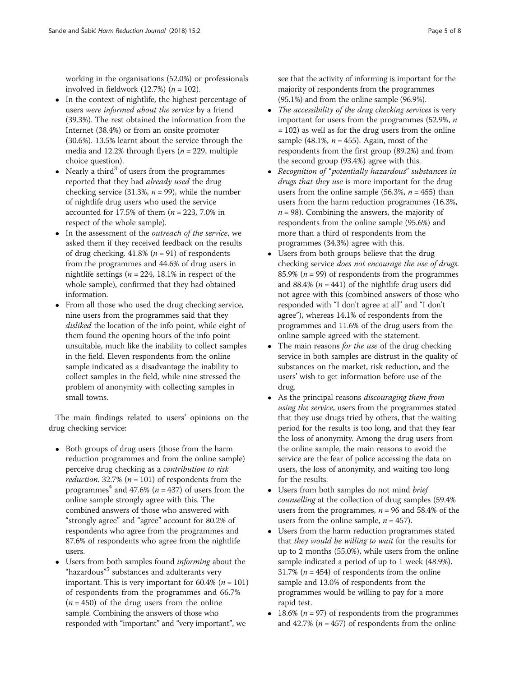working in the organisations (52.0%) or professionals involved in fieldwork  $(12.7%)$   $(n = 102)$ .

- In the context of nightlife, the highest percentage of users were informed about the service by a friend (39.3%). The rest obtained the information from the Internet (38.4%) or from an onsite promoter (30.6%). 13.5% learnt about the service through the media and 12.2% through flyers ( $n = 229$ , multiple choice question).
- Nearly a third<sup>3</sup> of users from the programmes reported that they had already used the drug checking service (31.3%,  $n = 99$ ), while the number of nightlife drug users who used the service accounted for 17.5% of them  $(n = 223, 7.0\%)$  in respect of the whole sample).
- In the assessment of the outreach of the service, we asked them if they received feedback on the results of drug checking.  $41.8\%$  ( $n = 91$ ) of respondents from the programmes and 44.6% of drug users in nightlife settings ( $n = 224$ , 18.1% in respect of the whole sample), confirmed that they had obtained information.
- From all those who used the drug checking service, nine users from the programmes said that they disliked the location of the info point, while eight of them found the opening hours of the info point unsuitable, much like the inability to collect samples in the field. Eleven respondents from the online sample indicated as a disadvantage the inability to collect samples in the field, while nine stressed the problem of anonymity with collecting samples in small towns.

The main findings related to users' opinions on the drug checking service:

- Both groups of drug users (those from the harm reduction programmes and from the online sample) perceive drug checking as a contribution to risk *reduction.* 32.7% ( $n = 101$ ) of respondents from the programmes<sup>4</sup> and 47.6% ( $n = 437$ ) of users from the online sample strongly agree with this. The combined answers of those who answered with "strongly agree" and "agree" account for 80.2% of respondents who agree from the programmes and 87.6% of respondents who agree from the nightlife users.
- Users from both samples found informing about the "hazardous" <sup>5</sup> substances and adulterants very important. This is very important for 60.4% ( $n = 101$ ) of respondents from the programmes and 66.7%  $(n = 450)$  of the drug users from the online sample. Combining the answers of those who responded with "important" and "very important", we

see that the activity of informing is important for the majority of respondents from the programmes (95.1%) and from the online sample (96.9%).

- The accessibility of the drug checking services is very important for users from the programmes (52.9%,  $n$  $= 102$ ) as well as for the drug users from the online sample (48.1%,  $n = 455$ ). Again, most of the respondents from the first group (89.2%) and from the second group (93.4%) agree with this.
- Recognition of "potentially hazardous" substances in drugs that they use is more important for the drug users from the online sample (56.3%,  $n = 455$ ) than users from the harm reduction programmes (16.3%,  $n = 98$ ). Combining the answers, the majority of respondents from the online sample (95.6%) and more than a third of respondents from the programmes (34.3%) agree with this.
- Users from both groups believe that the drug checking service does not encourage the use of drugs. 85.9% ( $n = 99$ ) of respondents from the programmes and 88.4% ( $n = 441$ ) of the nightlife drug users did not agree with this (combined answers of those who responded with "I don't agree at all" and "I don't agree"), whereas 14.1% of respondents from the programmes and 11.6% of the drug users from the online sample agreed with the statement.
- $\bullet$  The main reasons *for the use* of the drug checking service in both samples are distrust in the quality of substances on the market, risk reduction, and the users' wish to get information before use of the drug.
- As the principal reasons *discouraging them from* using the service, users from the programmes stated that they use drugs tried by others, that the waiting period for the results is too long, and that they fear the loss of anonymity. Among the drug users from the online sample, the main reasons to avoid the service are the fear of police accessing the data on users, the loss of anonymity, and waiting too long for the results.
- Users from both samples do not mind brief counselling at the collection of drug samples (59.4% users from the programmes,  $n = 96$  and 58.4% of the users from the online sample,  $n = 457$ ).
- Users from the harm reduction programmes stated that they would be willing to wait for the results for up to 2 months (55.0%), while users from the online sample indicated a period of up to 1 week (48.9%). 31.7% ( $n = 454$ ) of respondents from the online sample and 13.0% of respondents from the programmes would be willing to pay for a more rapid test.
- 18.6% ( $n = 97$ ) of respondents from the programmes and 42.7% ( $n = 457$ ) of respondents from the online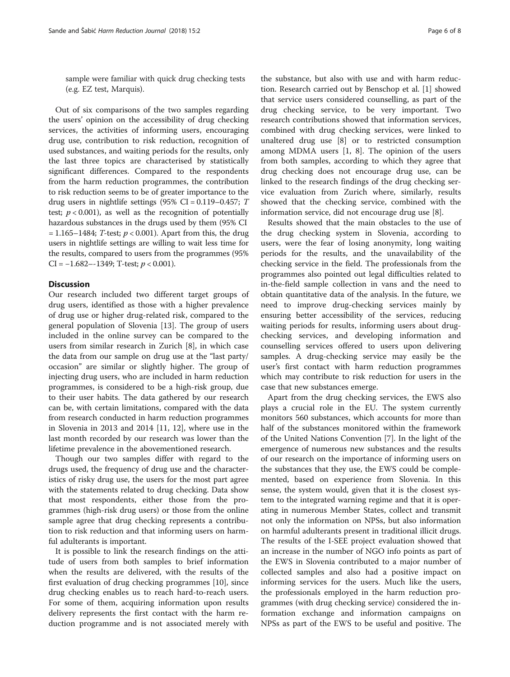sample were familiar with quick drug checking tests (e.g. EZ test, Marquis).

Out of six comparisons of the two samples regarding the users' opinion on the accessibility of drug checking services, the activities of informing users, encouraging drug use, contribution to risk reduction, recognition of used substances, and waiting periods for the results, only the last three topics are characterised by statistically significant differences. Compared to the respondents from the harm reduction programmes, the contribution to risk reduction seems to be of greater importance to the drug users in nightlife settings (95% CI =  $0.119 - 0.457$ ; T test;  $p < 0.001$ ), as well as the recognition of potentially hazardous substances in the drugs used by them (95% CI = 1.165–1484; T-test;  $p < 0.001$ ). Apart from this, the drug users in nightlife settings are willing to wait less time for the results, compared to users from the programmes (95% CI =  $-1.682 - 1349$ ; T-test;  $p < 0.001$ ).

# **Discussion**

Our research included two different target groups of drug users, identified as those with a higher prevalence of drug use or higher drug-related risk, compared to the general population of Slovenia [[13\]](#page-7-0). The group of users included in the online survey can be compared to the users from similar research in Zurich [[8\]](#page-7-0), in which case the data from our sample on drug use at the "last party/ occasion" are similar or slightly higher. The group of injecting drug users, who are included in harm reduction programmes, is considered to be a high-risk group, due to their user habits. The data gathered by our research can be, with certain limitations, compared with the data from research conducted in harm reduction programmes in Slovenia in 2013 and 2014 [\[11, 12\]](#page-7-0), where use in the last month recorded by our research was lower than the lifetime prevalence in the abovementioned research.

Though our two samples differ with regard to the drugs used, the frequency of drug use and the characteristics of risky drug use, the users for the most part agree with the statements related to drug checking. Data show that most respondents, either those from the programmes (high-risk drug users) or those from the online sample agree that drug checking represents a contribution to risk reduction and that informing users on harmful adulterants is important.

It is possible to link the research findings on the attitude of users from both samples to brief information when the results are delivered, with the results of the first evaluation of drug checking programmes [[10](#page-7-0)], since drug checking enables us to reach hard-to-reach users. For some of them, acquiring information upon results delivery represents the first contact with the harm reduction programme and is not associated merely with

the substance, but also with use and with harm reduction. Research carried out by Benschop et al. [[1](#page-7-0)] showed that service users considered counselling, as part of the drug checking service, to be very important. Two research contributions showed that information services, combined with drug checking services, were linked to unaltered drug use [\[8\]](#page-7-0) or to restricted consumption among MDMA users [\[1](#page-7-0), [8](#page-7-0)]. The opinion of the users from both samples, according to which they agree that drug checking does not encourage drug use, can be linked to the research findings of the drug checking service evaluation from Zurich where, similarly, results showed that the checking service, combined with the information service, did not encourage drug use [\[8\]](#page-7-0).

Results showed that the main obstacles to the use of the drug checking system in Slovenia, according to users, were the fear of losing anonymity, long waiting periods for the results, and the unavailability of the checking service in the field. The professionals from the programmes also pointed out legal difficulties related to in-the-field sample collection in vans and the need to obtain quantitative data of the analysis. In the future, we need to improve drug-checking services mainly by ensuring better accessibility of the services, reducing waiting periods for results, informing users about drugchecking services, and developing information and counselling services offered to users upon delivering samples. A drug-checking service may easily be the user's first contact with harm reduction programmes which may contribute to risk reduction for users in the case that new substances emerge.

Apart from the drug checking services, the EWS also plays a crucial role in the EU. The system currently monitors 560 substances, which accounts for more than half of the substances monitored within the framework of the United Nations Convention [[7\]](#page-7-0). In the light of the emergence of numerous new substances and the results of our research on the importance of informing users on the substances that they use, the EWS could be complemented, based on experience from Slovenia. In this sense, the system would, given that it is the closest system to the integrated warning regime and that it is operating in numerous Member States, collect and transmit not only the information on NPSs, but also information on harmful adulterants present in traditional illicit drugs. The results of the I-SEE project evaluation showed that an increase in the number of NGO info points as part of the EWS in Slovenia contributed to a major number of collected samples and also had a positive impact on informing services for the users. Much like the users, the professionals employed in the harm reduction programmes (with drug checking service) considered the information exchange and information campaigns on NPSs as part of the EWS to be useful and positive. The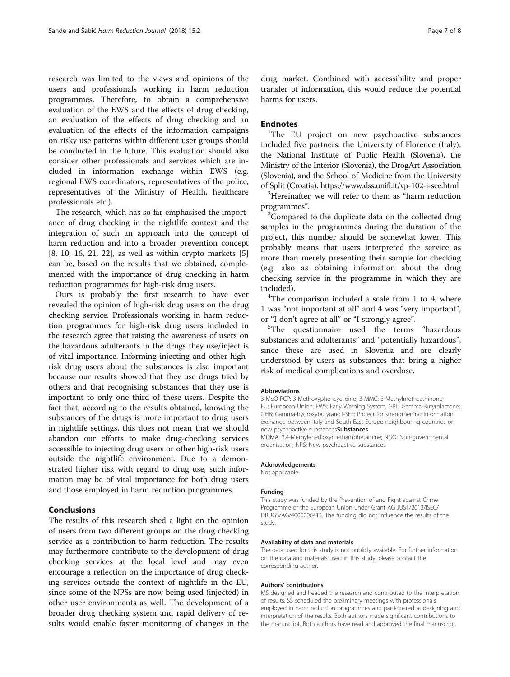research was limited to the views and opinions of the users and professionals working in harm reduction programmes. Therefore, to obtain a comprehensive evaluation of the EWS and the effects of drug checking, an evaluation of the effects of drug checking and an evaluation of the effects of the information campaigns on risky use patterns within different user groups should be conducted in the future. This evaluation should also consider other professionals and services which are included in information exchange within EWS (e.g. regional EWS coordinators, representatives of the police, representatives of the Ministry of Health, healthcare professionals etc.).

The research, which has so far emphasised the importance of drug checking in the nightlife context and the integration of such an approach into the concept of harm reduction and into a broader prevention concept [[8, 10, 16, 21, 22\]](#page-7-0), as well as within crypto markets [\[5](#page-7-0)] can be, based on the results that we obtained, complemented with the importance of drug checking in harm reduction programmes for high-risk drug users.

Ours is probably the first research to have ever revealed the opinion of high-risk drug users on the drug checking service. Professionals working in harm reduction programmes for high-risk drug users included in the research agree that raising the awareness of users on the hazardous adulterants in the drugs they use/inject is of vital importance. Informing injecting and other highrisk drug users about the substances is also important because our results showed that they use drugs tried by others and that recognising substances that they use is important to only one third of these users. Despite the fact that, according to the results obtained, knowing the substances of the drugs is more important to drug users in nightlife settings, this does not mean that we should abandon our efforts to make drug-checking services accessible to injecting drug users or other high-risk users outside the nightlife environment. Due to a demonstrated higher risk with regard to drug use, such information may be of vital importance for both drug users and those employed in harm reduction programmes.

# Conclusions

The results of this research shed a light on the opinion of users from two different groups on the drug checking service as a contribution to harm reduction. The results may furthermore contribute to the development of drug checking services at the local level and may even encourage a reflection on the importance of drug checking services outside the context of nightlife in the EU, since some of the NPSs are now being used (injected) in other user environments as well. The development of a broader drug checking system and rapid delivery of results would enable faster monitoring of changes in the drug market. Combined with accessibility and proper transfer of information, this would reduce the potential harms for users.

### **Endnotes**

<sup>1</sup>The EU project on new psychoactive substances included five partners: the University of Florence (Italy), the National Institute of Public Health (Slovenia), the Ministry of the Interior (Slovenia), the DrogArt Association (Slovenia), and the School of Medicine from the University of Split (Croatia).<https://www.dss.unifi.it/vp-102-i-see.html> <sup>2</sup>

 $\mu$ <sup>2</sup>Hereinafter, we will refer to them as "harm reduction programmes".

<sup>3</sup>Compared to the duplicate data on the collected drug samples in the programmes during the duration of the project, this number should be somewhat lower. This probably means that users interpreted the service as more than merely presenting their sample for checking (e.g. also as obtaining information about the drug checking service in the programme in which they are included). <sup>4</sup>

 $4$ The comparison included a scale from 1 to 4, where 1 was "not important at all" and 4 was "very important", or "I don't agree at all" or "I strongly agree".

<sup>5</sup>The questionnaire used the terms "hazardous substances and adulterants" and "potentially hazardous", since these are used in Slovenia and are clearly understood by users as substances that bring a higher risk of medical complications and overdose.

#### Abbreviations

3-MeO-PCP: 3-Methoxyphencyclidine; 3-MMC: 3-Methylmethcathinone; EU: European Union; EWS: Early Warning System; GBL: Gamma-Butyrolactone; GHB: Gamma-hydroxybutyrate; I-SEE: Project for strengthening information exchange between Italy and South-East Europe neighbouring countries on new psychoactive substancesSubstances

MDMA: 3,4-Methylenedioxymethamphetamine; NGO: Non-governmental organisation; NPS: New psychoactive substances

#### Acknowledgements

Not applicable

#### Funding

This study was funded by the Prevention of and Fight against Crime Programme of the European Union under Grant AG JUST/2013/ISEC/ DRUGS/AG/4000006413. The funding did not influence the results of the study.

#### Availability of data and materials

The data used for this study is not publicly available. For further information on the data and materials used in this study, please contact the corresponding author.

#### Authors' contributions

MS designed and headed the research and contributed to the interpretation of results. SŠ scheduled the preliminary meetings with professionals employed in harm reduction programmes and participated at designing and interpretation of the results. Both authors made significant contributions to the manuscript. Both authors have read and approved the final manuscript.